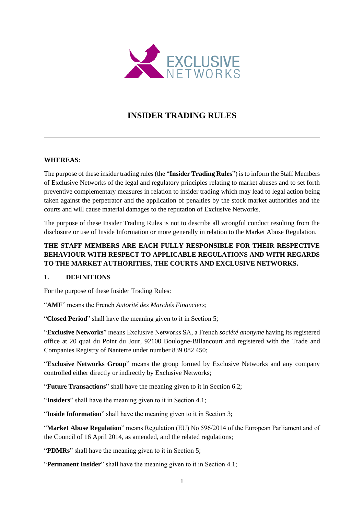

# **INSIDER TRADING RULES**

### **WHEREAS**:

The purpose of these insider trading rules (the "**Insider Trading Rules**") is to inform the Staff Members of Exclusive Networks of the legal and regulatory principles relating to market abuses and to set forth preventive complementary measures in relation to insider trading which may lead to legal action being taken against the perpetrator and the application of penalties by the stock market authorities and the courts and will cause material damages to the reputation of Exclusive Networks.

The purpose of these Insider Trading Rules is not to describe all wrongful conduct resulting from the disclosure or use of Inside Information or more generally in relation to the Market Abuse Regulation.

# **THE STAFF MEMBERS ARE EACH FULLY RESPONSIBLE FOR THEIR RESPECTIVE BEHAVIOUR WITH RESPECT TO APPLICABLE REGULATIONS AND WITH REGARDS TO THE MARKET AUTHORITIES, THE COURTS AND EXCLUSIVE NETWORKS.**

#### **1. DEFINITIONS**

For the purpose of these Insider Trading Rules:

"**AMF**" means the French *Autorité des Marchés Financiers*;

"**Closed Period**" shall have the meaning given to it in Section [5;](#page-3-0)

"**Exclusive Networks**" means Exclusive Networks SA, a French *société anonyme* having its registered office at 20 quai du Point du Jour, 92100 Boulogne-Billancourt and registered with the Trade and Companies Registry of Nanterre under number 839 082 450;

"**Exclusive Networks Group**" means the group formed by Exclusive Networks and any company controlled either directly or indirectly by Exclusive Networks;

"**Future Transactions**" shall have the meaning given to it in Section [6.2;](#page-6-0)

"**Insiders**" shall have the meaning given to it in Section [4.1;](#page-2-0)

"**Inside Information**" shall have the meaning given to it in Sectio[n 3;](#page-1-0)

"**Market Abuse Regulation**" means Regulation (EU) No 596/2014 of the European Parliament and of the Council of 16 April 2014, as amended, and the related regulations;

"**PDMRs**" shall have the meaning given to it in Section [5;](#page-3-0)

"**Permanent Insider**" shall have the meaning given to it in Section [4.1;](#page-2-0)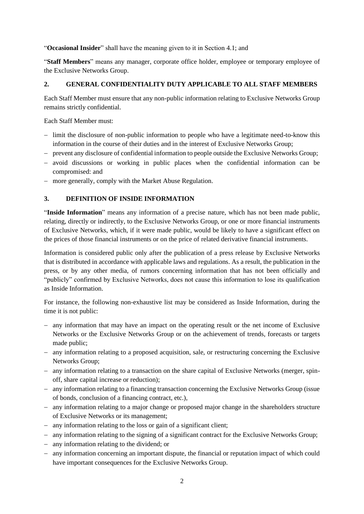"**Occasional Insider**" shall have the meaning given to it in Section [4.1;](#page-2-0) and

"**Staff Members**" means any manager, corporate office holder, employee or temporary employee of the Exclusive Networks Group.

### **2. GENERAL CONFIDENTIALITY DUTY APPLICABLE TO ALL STAFF MEMBERS**

Each Staff Member must ensure that any non-public information relating to Exclusive Networks Group remains strictly confidential.

#### Each Staff Member must:

- − limit the disclosure of non-public information to people who have a legitimate need-to-know this information in the course of their duties and in the interest of Exclusive Networks Group;
- − prevent any disclosure of confidential information to people outside the Exclusive Networks Group;
- − avoid discussions or working in public places when the confidential information can be compromised: and
- − more generally, comply with the Market Abuse Regulation.

### <span id="page-1-0"></span>**3. DEFINITION OF INSIDE INFORMATION**

"**Inside Information**" means any information of a precise nature, which has not been made public, relating, directly or indirectly, to the Exclusive Networks Group, or one or more financial instruments of Exclusive Networks, which, if it were made public, would be likely to have a significant effect on the prices of those financial instruments or on the price of related derivative financial instruments.

Information is considered public only after the publication of a press release by Exclusive Networks that is distributed in accordance with applicable laws and regulations. As a result, the publication in the press, or by any other media, of rumors concerning information that has not been officially and "publicly" confirmed by Exclusive Networks, does not cause this information to lose its qualification as Inside Information.

For instance, the following non-exhaustive list may be considered as Inside Information, during the time it is not public:

- − any information that may have an impact on the operating result or the net income of Exclusive Networks or the Exclusive Networks Group or on the achievement of trends, forecasts or targets made public;
- − any information relating to a proposed acquisition, sale, or restructuring concerning the Exclusive Networks Group;
- − any information relating to a transaction on the share capital of Exclusive Networks (merger, spinoff, share capital increase or reduction);
- − any information relating to a financing transaction concerning the Exclusive Networks Group (issue of bonds, conclusion of a financing contract, etc.),
- − any information relating to a major change or proposed major change in the shareholders structure of Exclusive Networks or its management;
- − any information relating to the loss or gain of a significant client;
- − any information relating to the signing of a significant contract for the Exclusive Networks Group;
- − any information relating to the dividend; or
- − any information concerning an important dispute, the financial or reputation impact of which could have important consequences for the Exclusive Networks Group.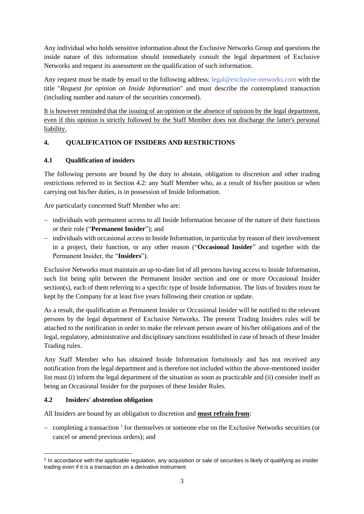Any individual who holds sensitive information about the Exclusive Networks Group and questions the inside nature of this information should immediately consult the legal department of Exclusive Networks and request its assessment on the qualification of such information.

Any request must be made by email to the following address: legal@exclusive-networks.com with the title "*Request for opinion on Inside Information*" and must describe the contemplated transaction (including number and nature of the securities concerned).

It is however reminded that the issuing of an opinion or the absence of opinion by the legal department, even if this opinion is strictly followed by the Staff Member does not discharge the latter's personal liability.

### **4. QUALIFICATION OF INSIDERS AND RESTRICTIONS**

### <span id="page-2-0"></span>**4.1 Qualification of insiders**

The following persons are bound by the duty to abstain, obligation to discretion and other trading restrictions referred to in Section [4.2:](#page-2-1) any Staff Member who, as a result of his/her position or when carrying out his/her duties, is in possession of Inside Information.

Are particularly concerned Staff Member who are:

- − individuals with permanent access to all Inside Information because of the nature of their functions or their role ("**Permanent Insider**"); and
- − individuals with occasional access to Inside Information, in particular by reason of their involvement in a project, their function, or any other reason ("**Occasional Insider**" and together with the Permanent Insider, the "**Insiders**").

Exclusive Networks must maintain an up-to-date list of all persons having access to Inside Information, such list being split between the Permanent Insider section and one or more Occasional Insider section(s), each of them referring to a specific type of Inside Information. The lists of Insiders must be kept by the Company for at least five years following their creation or update.

As a result, the qualification as Permanent Insider or Occasional Insider will be notified to the relevant persons by the legal department of Exclusive Networks. The present Trading Insiders rules will be attached to the notification in order to make the relevant person aware of his/her obligations and of the legal, regulatory, administrative and disciplinary sanctions established in case of breach of these Insider Trading rules.

Any Staff Member who has obtained Inside Information fortuitously and has not received any notification from the legal department and is therefore not included within the above-mentioned insider list must (i) inform the legal department of the situation as soon as practicable and (ii) consider itself as being an Occasional Insider for the purposes of these Insider Rules.

# <span id="page-2-1"></span>**4.2 Insiders' abstention obligation**

All Insiders are bound by an obligation to discretion and **must refrain from**:

− completing a transaction <sup>1</sup> for themselves or someone else on the Exclusive Networks securities (or cancel or amend previous orders); and

<sup>1</sup> In accordance with the applicable regulation, any acquisition or sale of securities is likely of qualifying as insider trading even if it is a transaction on a derivative instrument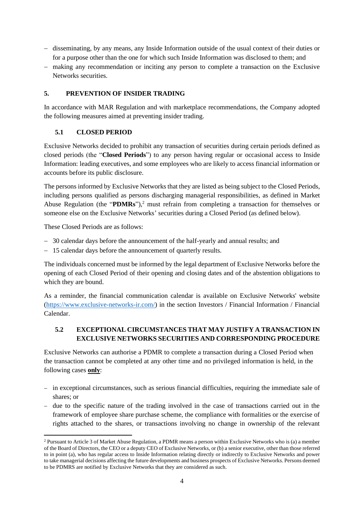- − disseminating, by any means, any Inside Information outside of the usual context of their duties or for a purpose other than the one for which such Inside Information was disclosed to them; and
- − making any recommendation or inciting any person to complete a transaction on the Exclusive Networks securities.

#### <span id="page-3-0"></span>**5. PREVENTION OF INSIDER TRADING**

In accordance with MAR Regulation and with marketplace recommendations, the Company adopted the following measures aimed at preventing insider trading.

#### **5.1 CLOSED PERIOD**

Exclusive Networks decided to prohibit any transaction of securities during certain periods defined as closed periods (the "**Closed Periods**") to any person having regular or occasional access to Inside Information: leading executives, and some employees who are likely to access financial information or accounts before its public disclosure.

The persons informed by Exclusive Networks that they are listed as being subject to the Closed Periods, including persons qualified as persons discharging managerial responsibilities, as defined in Market Abuse Regulation (the "**PDMRs**"), <sup>2</sup> must refrain from completing a transaction for themselves or someone else on the Exclusive Networks' securities during a Closed Period (as defined below).

These Closed Periods are as follows:

- − 30 calendar days before the announcement of the half-yearly and annual results; and
- − 15 calendar days before the announcement of quarterly results.

The individuals concerned must be informed by the legal department of Exclusive Networks before the opening of each Closed Period of their opening and closing dates and of the abstention obligations to which they are bound.

As a reminder, the financial communication calendar is available on Exclusive Networks' website [\(https://www.exclusive-networks-ir.com/\)](https://www.exclusive-networks-ir.com/) in the section Investors / Financial Information / Financial Calendar.

### **5.2 EXCEPTIONAL CIRCUMSTANCES THAT MAY JUSTIFY A TRANSACTION IN EXCLUSIVE NETWORKS SECURITIES AND CORRESPONDING PROCEDURE**

Exclusive Networks can authorise a PDMR to complete a transaction during a Closed Period when the transaction cannot be completed at any other time and no privileged information is held, in the following cases **only**:

- − in exceptional circumstances, such as serious financial difficulties, requiring the immediate sale of shares; or
- − due to the specific nature of the trading involved in the case of transactions carried out in the framework of employee share purchase scheme, the compliance with formalities or the exercise of rights attached to the shares, or transactions involving no change in ownership of the relevant

<sup>2</sup> Pursuant to Article 3 of Market Abuse Regulation, a PDMR means a person within Exclusive Networks who is (a) a member of the Board of Directors, the CEO or a deputy CEO of Exclusive Networks, or (b) a senior executive, other than those referred to in point (a), who has regular access to Inside Information relating directly or indirectly to Exclusive Networks and power to take managerial decisions affecting the future developments and business prospects of Exclusive Networks. Persons deemed to be PDMRS are notified by Exclusive Networks that they are considered as such.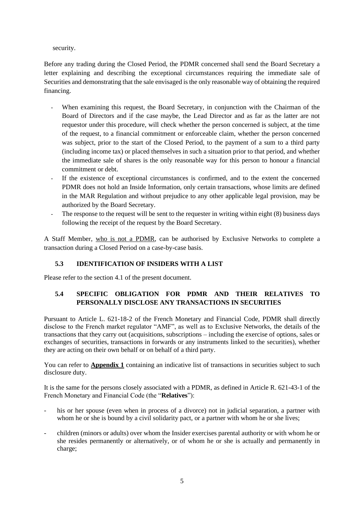security.

Before any trading during the Closed Period, the PDMR concerned shall send the Board Secretary a letter explaining and describing the exceptional circumstances requiring the immediate sale of Securities and demonstrating that the sale envisaged is the only reasonable way of obtaining the required financing.

- When examining this request, the Board Secretary, in conjunction with the Chairman of the Board of Directors and if the case maybe, the Lead Director and as far as the latter are not requestor under this procedure, will check whether the person concerned is subject, at the time of the request, to a financial commitment or enforceable claim, whether the person concerned was subject, prior to the start of the Closed Period, to the payment of a sum to a third party (including income tax) or placed themselves in such a situation prior to that period, and whether the immediate sale of shares is the only reasonable way for this person to honour a financial commitment or debt.
- If the existence of exceptional circumstances is confirmed, and to the extent the concerned PDMR does not hold an Inside Information, only certain transactions, whose limits are defined in the MAR Regulation and without prejudice to any other applicable legal provision, may be authorized by the Board Secretary.
- The response to the request will be sent to the requester in writing within eight (8) business days following the receipt of the request by the Board Secretary.

A Staff Member, who is not a PDMR, can be authorised by Exclusive Networks to complete a transaction during a Closed Period on a case-by-case basis.

# **5.3 IDENTIFICATION OF INSIDERS WITH A LIST**

Please refer to the section 4.1 of the present document.

# **5.4 SPECIFIC OBLIGATION FOR PDMR AND THEIR RELATIVES TO PERSONALLY DISCLOSE ANY TRANSACTIONS IN SECURITIES**

Pursuant to Article L. 621-18-2 of the French Monetary and Financial Code, PDMR shall directly disclose to the French market regulator "AMF", as well as to Exclusive Networks, the details of the transactions that they carry out (acquisitions, subscriptions – including the exercise of options, sales or exchanges of securities, transactions in forwards or any instruments linked to the securities), whether they are acting on their own behalf or on behalf of a third party.

You can refer to **Appendix 1** containing an indicative list of transactions in securities subject to such disclosure duty.

It is the same for the persons closely associated with a PDMR, as defined in Article R. 621-43-1 of the French Monetary and Financial Code (the "**Relatives**"):

- his or her spouse (even when in process of a divorce) not in judicial separation, a partner with whom he or she is bound by a civil solidarity pact, or a partner with whom he or she lives;
- children (minors or adults) over whom the Insider exercises parental authority or with whom he or she resides permanently or alternatively, or of whom he or she is actually and permanently in charge;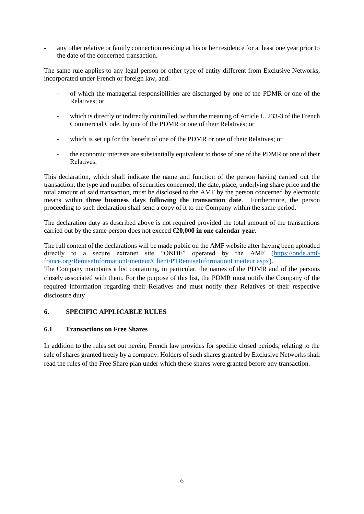any other relative or family connection residing at his or her residence for at least one year prior to the date of the concerned transaction.

The same rule applies to any legal person or other type of entity different from Exclusive Networks, incorporated under French or foreign law, and:

- of which the managerial responsibilities are discharged by one of the PDMR or one of the Relatives; or
- which is directly or indirectly controlled, within the meaning of Article L. 233-3 of the French Commercial Code, by one of the PDMR or one of their Relatives; or
- which is set up for the benefit of one of the PDMR or one of their Relatives; or
- the economic interests are substantially equivalent to those of one of the PDMR or one of their Relatives.

This declaration, which shall indicate the name and function of the person having carried out the transaction, the type and number of securities concerned, the date, place, underlying share price and the total amount of said transaction, must be disclosed to the AMF by the person concerned by electronic means within **three business days following the transaction date**. Furthermore, the person proceeding to such declaration shall send a copy of it to the Company within the same period.

The declaration duty as described above is not required provided the total amount of the transactions carried out by the same person does not exceed **€20,000 in one calendar year**.

The full content of the declarations will be made public on the AMF website after having been uploaded directly to a secure extranet site "ONDE" operated by the AMF [\(https://onde.amf](https://onde.amf-france.org/RemiseInformationEmetteur/Client/PTRemiseInformationEmetteur.aspx)[france.org/RemiseInformationEmetteur/Client/PTRemiseInformationEmetteur.aspx\)](https://onde.amf-france.org/RemiseInformationEmetteur/Client/PTRemiseInformationEmetteur.aspx).

The Company maintains a list containing, in particular, the names of the PDMR and of the persons closely associated with them. For the purpose of this list, the PDMR must notify the Company of the required information regarding their Relatives and must notify their Relatives of their respective disclosure duty

### **6. SPECIFIC APPLICABLE RULES**

#### **6.1 Transactions on Free Shares**

In addition to the rules set out herein, French law provides for specific closed periods, relating to the sale of shares granted freely by a company. Holders of such shares granted by Exclusive Networks shall read the rules of the Free Share plan under which these shares were granted before any transaction.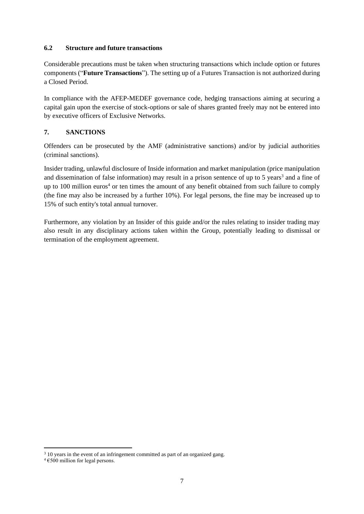#### <span id="page-6-0"></span>**6.2 Structure and future transactions**

Considerable precautions must be taken when structuring transactions which include option or futures components ("**Future Transactions**"). The setting up of a Futures Transaction is not authorized during a Closed Period.

In compliance with the AFEP-MEDEF governance code, hedging transactions aiming at securing a capital gain upon the exercise of stock-options or sale of shares granted freely may not be entered into by executive officers of Exclusive Networks.

### **7. SANCTIONS**

Offenders can be prosecuted by the AMF (administrative sanctions) and/or by judicial authorities (criminal sanctions).

Insider trading, unlawful disclosure of Inside information and market manipulation (price manipulation and dissemination of false information) may result in a prison sentence of up to 5 years<sup>3</sup> and a fine of up to 100 million euros<sup>4</sup> or ten times the amount of any benefit obtained from such failure to comply (the fine may also be increased by a further 10%). For legal persons, the fine may be increased up to 15% of such entity's total annual turnover.

Furthermore, any violation by an Insider of this guide and/or the rules relating to insider trading may also result in any disciplinary actions taken within the Group, potentially leading to dismissal or termination of the employment agreement.

<sup>&</sup>lt;sup>3</sup> 10 years in the event of an infringement committed as part of an organized gang.

 $4 \text{ } \epsilon$ 500 million for legal persons.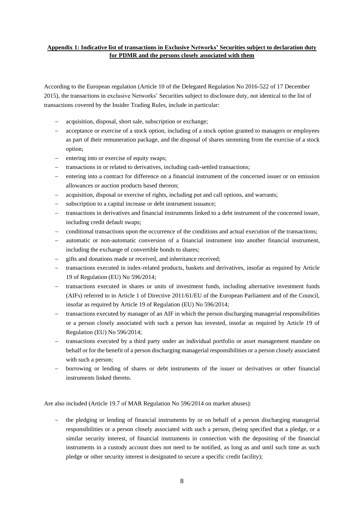#### **Appendix 1: Indicative list of transactions in Exclusive Networks' Securities subject to declaration duty for PDMR and the persons closely associated with them**

According to the European regulation (Article 10 of the Delegated Regulation No 2016-522 of 17 December 2015), the transactions in exclusive Networks' Securities subject to disclosure duty, not identical to the list of transactions covered by the Insider Trading Rules, include in particular:

- acquisition, disposal, short sale, subscription or exchange;
- − acceptance or exercise of a stock option, including of a stock option granted to managers or employees as part of their remuneration package, and the disposal of shares stemming from the exercise of a stock option;
- entering into or exercise of equity swaps;
- transactions in or related to derivatives, including cash-settled transactions;
- entering into a contract for difference on a financial instrument of the concerned issuer or on emission allowances or auction products based thereon;
- acquisition, disposal or exercise of rights, including put and call options, and warrants;
- subscription to a capital increase or debt instrument issuance;
- − transactions in derivatives and financial instruments linked to a debt instrument of the concerned issuer, including credit default swaps;
- − conditional transactions upon the occurrence of the conditions and actual execution of the transactions;
- automatic or non-automatic conversion of a financial instrument into another financial instrument, including the exchange of convertible bonds to shares;
- gifts and donations made or received, and inheritance received;
- − transactions executed in index-related products, baskets and derivatives, insofar as required by Article 19 of Regulation (EU) No 596/2014;
- − transactions executed in shares or units of investment funds, including alternative investment funds (AIFs) referred to in Article 1 of Directive 2011/61/EU of the European Parliament and of the Council, insofar as required by Article 19 of Regulation (EU) No 596/2014;
- transactions executed by manager of an AIF in which the person discharging managerial responsibilities or a person closely associated with such a person has invested, insofar as required by Article 19 of Regulation (EU) No 596/2014;
- transactions executed by a third party under an individual portfolio or asset management mandate on behalf or for the benefit of a person discharging managerial responsibilities or a person closely associated with such a person;
- − borrowing or lending of shares or debt instruments of the issuer or derivatives or other financial instruments linked thereto.

Are also included (Article 19.7 of MAR Regulation No 596/2014 on market abuses):

− the pledging or lending of financial instruments by or on behalf of a person discharging managerial responsibilities or a person closely associated with such a person, (being specified that a pledge, or a similar security interest, of financial instruments in connection with the depositing of the financial instruments in a custody account does not need to be notified, as long as and until such time as such pledge or other security interest is designated to secure a specific credit facility);